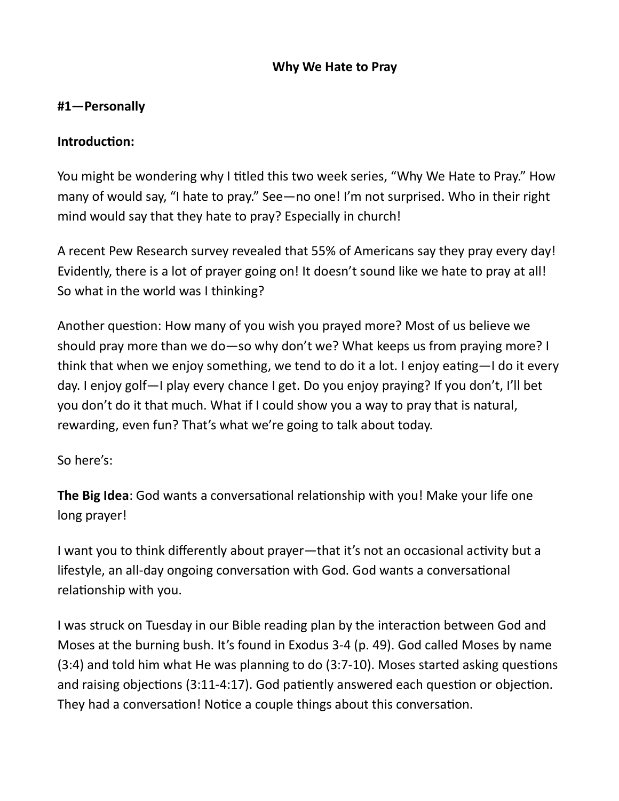#### Why We Hate to Pray

#### #1—Personally

#### Introduction:

You might be wondering why I titled this two week series, "Why We Hate to Pray." How many of would say, "I hate to pray." See—no one! I'm not surprised. Who in their right mind would say that they hate to pray? Especially in church!

A recent Pew Research survey revealed that 55% of Americans say they pray every day! Evidently, there is a lot of prayer going on! It doesn't sound like we hate to pray at all! So what in the world was I thinking?

Another question: How many of you wish you prayed more? Most of us believe we should pray more than we do—so why don't we? What keeps us from praying more? I think that when we enjoy something, we tend to do it a lot. I enjoy eating—I do it every day. I enjoy golf—I play every chance I get. Do you enjoy praying? If you don't, I'll bet you don't do it that much. What if I could show you a way to pray that is natural, rewarding, even fun? That's what we're going to talk about today.

So here's:

The Big Idea: God wants a conversational relationship with you! Make your life one long prayer!

I want you to think differently about prayer—that it's not an occasional activity but a lifestyle, an all-day ongoing conversation with God. God wants a conversational relationship with you.

I was struck on Tuesday in our Bible reading plan by the interaction between God and Moses at the burning bush. It's found in Exodus 3-4 (p. 49). God called Moses by name  $(3:4)$  and told him what He was planning to do  $(3:7-10)$ . Moses started asking questions and raising objections (3:11-4:17). God patiently answered each question or objection. They had a conversation! Notice a couple things about this conversation.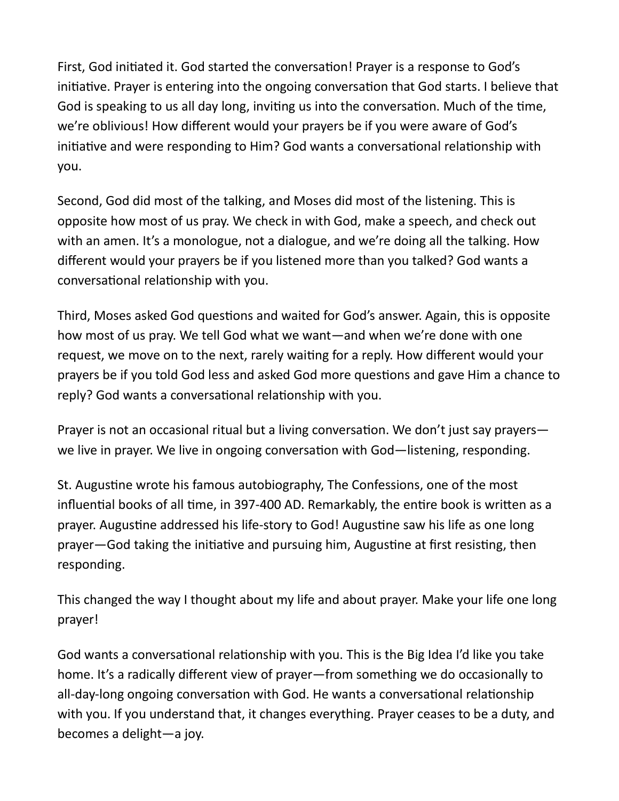First, God initiated it. God started the conversation! Prayer is a response to God's initiative. Prayer is entering into the ongoing conversation that God starts. I believe that God is speaking to us all day long, inviting us into the conversation. Much of the time, we're oblivious! How different would your prayers be if you were aware of God's initiative and were responding to Him? God wants a conversational relationship with you.

Second, God did most of the talking, and Moses did most of the listening. This is opposite how most of us pray. We check in with God, make a speech, and check out with an amen. It's a monologue, not a dialogue, and we're doing all the talking. How different would your prayers be if you listened more than you talked? God wants a conversational relationship with you.

Third, Moses asked God questions and waited for God's answer. Again, this is opposite how most of us pray. We tell God what we want—and when we're done with one request, we move on to the next, rarely waiting for a reply. How different would your prayers be if you told God less and asked God more questions and gave Him a chance to reply? God wants a conversational relationship with you.

Prayer is not an occasional ritual but a living conversation. We don't just say prayers we live in prayer. We live in ongoing conversation with God—listening, responding.

St. Augustine wrote his famous autobiography, The Confessions, one of the most influential books of all time, in 397-400 AD. Remarkably, the entire book is written as a prayer. Augustine addressed his life-story to God! Augustine saw his life as one long prayer—God taking the initiative and pursuing him, Augustine at first resisting, then responding.

This changed the way I thought about my life and about prayer. Make your life one long prayer!

God wants a conversational relationship with you. This is the Big Idea I'd like you take home. It's a radically different view of prayer—from something we do occasionally to all-day-long ongoing conversation with God. He wants a conversational relationship with you. If you understand that, it changes everything. Prayer ceases to be a duty, and becomes a delight—a joy.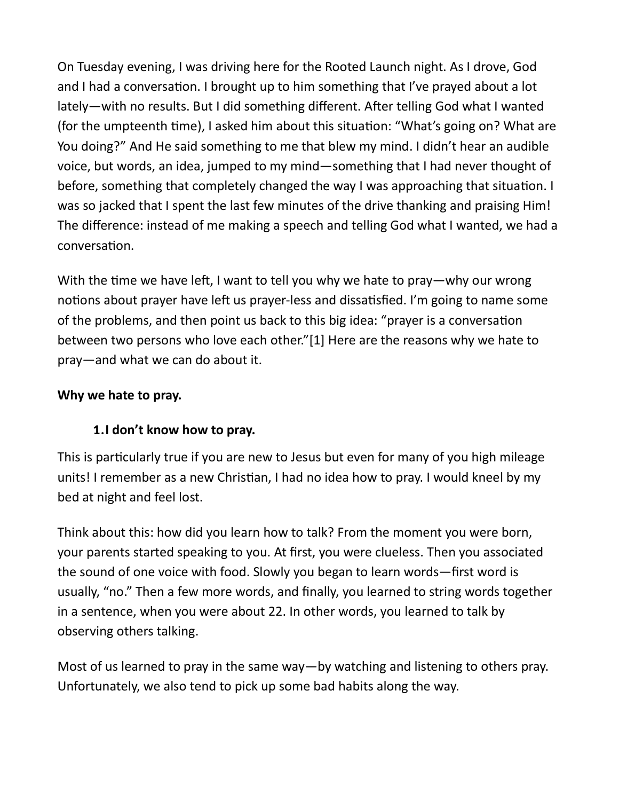On Tuesday evening, I was driving here for the Rooted Launch night. As I drove, God and I had a conversation. I brought up to him something that I've prayed about a lot lately—with no results. But I did something different. After telling God what I wanted (for the umpteenth time), I asked him about this situation: "What's going on? What are You doing?" And He said something to me that blew my mind. I didn't hear an audible voice, but words, an idea, jumped to my mind—something that I had never thought of before, something that completely changed the way I was approaching that situation. I was so jacked that I spent the last few minutes of the drive thanking and praising Him! The difference: instead of me making a speech and telling God what I wanted, we had a conversaƟon.

With the time we have left, I want to tell you why we hate to pray—why our wrong notions about prayer have left us prayer-less and dissatisfied. I'm going to name some of the problems, and then point us back to this big idea: "prayer is a conversation between two persons who love each other."[1] Here are the reasons why we hate to pray—and what we can do about it.

## Why we hate to pray.

## 1.I don't know how to pray.

This is particularly true if you are new to Jesus but even for many of you high mileage units! I remember as a new Christian, I had no idea how to pray. I would kneel by my bed at night and feel lost.

Think about this: how did you learn how to talk? From the moment you were born, your parents started speaking to you. At first, you were clueless. Then you associated the sound of one voice with food. Slowly you began to learn words—first word is usually, "no." Then a few more words, and finally, you learned to string words together in a sentence, when you were about 22. In other words, you learned to talk by observing others talking.

Most of us learned to pray in the same way—by watching and listening to others pray. Unfortunately, we also tend to pick up some bad habits along the way.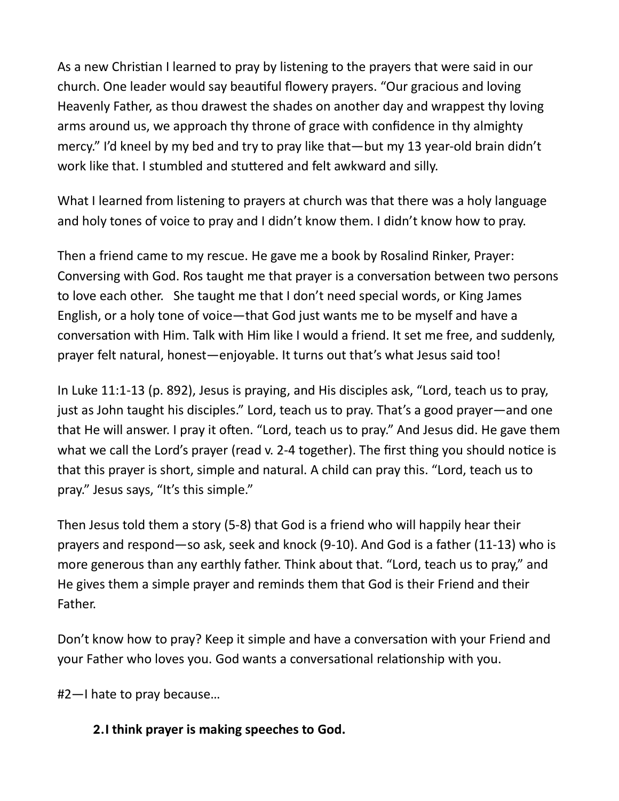As a new Christian I learned to pray by listening to the prayers that were said in our church. One leader would say beauƟful flowery prayers. "Our gracious and loving Heavenly Father, as thou drawest the shades on another day and wrappest thy loving arms around us, we approach thy throne of grace with confidence in thy almighty mercy." I'd kneel by my bed and try to pray like that—but my 13 year-old brain didn't work like that. I stumbled and stuttered and felt awkward and silly.

What I learned from listening to prayers at church was that there was a holy language and holy tones of voice to pray and I didn't know them. I didn't know how to pray.

Then a friend came to my rescue. He gave me a book by Rosalind Rinker, Prayer: Conversing with God. Ros taught me that prayer is a conversation between two persons to love each other. She taught me that I don't need special words, or King James English, or a holy tone of voice—that God just wants me to be myself and have a conversation with Him. Talk with Him like I would a friend. It set me free, and suddenly, prayer felt natural, honest—enjoyable. It turns out that's what Jesus said too!

In Luke 11:1-13 (p. 892), Jesus is praying, and His disciples ask, "Lord, teach us to pray, just as John taught his disciples." Lord, teach us to pray. That's a good prayer—and one that He will answer. I pray it often. "Lord, teach us to pray." And Jesus did. He gave them what we call the Lord's prayer (read v. 2-4 together). The first thing you should notice is that this prayer is short, simple and natural. A child can pray this. "Lord, teach us to pray." Jesus says, "It's this simple."

Then Jesus told them a story (5-8) that God is a friend who will happily hear their prayers and respond—so ask, seek and knock (9-10). And God is a father (11-13) who is more generous than any earthly father. Think about that. "Lord, teach us to pray," and He gives them a simple prayer and reminds them that God is their Friend and their Father.

Don't know how to pray? Keep it simple and have a conversation with your Friend and your Father who loves you. God wants a conversational relationship with you.

#2—I hate to pray because…

## 2.I think prayer is making speeches to God.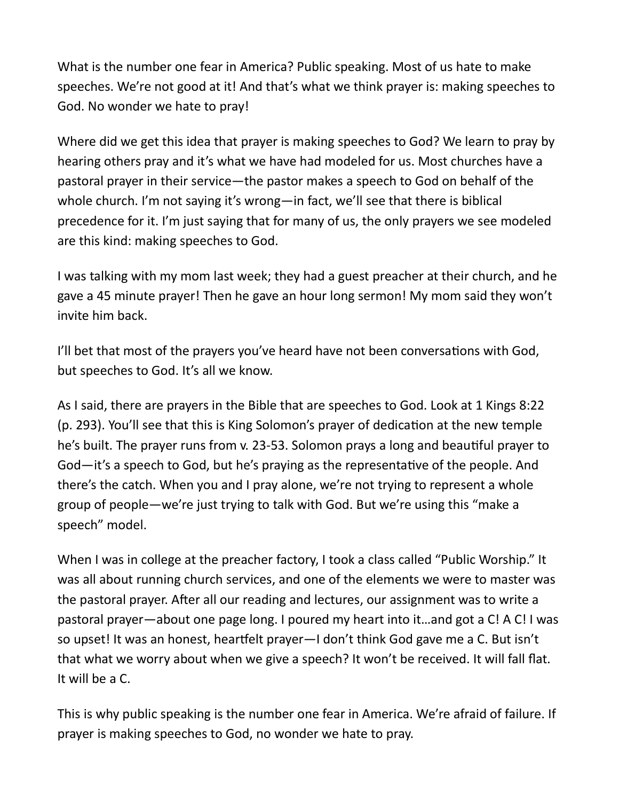What is the number one fear in America? Public speaking. Most of us hate to make speeches. We're not good at it! And that's what we think prayer is: making speeches to God. No wonder we hate to pray!

Where did we get this idea that prayer is making speeches to God? We learn to pray by hearing others pray and it's what we have had modeled for us. Most churches have a pastoral prayer in their service—the pastor makes a speech to God on behalf of the whole church. I'm not saying it's wrong—in fact, we'll see that there is biblical precedence for it. I'm just saying that for many of us, the only prayers we see modeled are this kind: making speeches to God.

I was talking with my mom last week; they had a guest preacher at their church, and he gave a 45 minute prayer! Then he gave an hour long sermon! My mom said they won't invite him back.

I'll bet that most of the prayers you've heard have not been conversations with God, but speeches to God. It's all we know.

As I said, there are prayers in the Bible that are speeches to God. Look at 1 Kings 8:22 (p. 293). You'll see that this is King Solomon's prayer of dedication at the new temple he's built. The prayer runs from v. 23-53. Solomon prays a long and beautiful prayer to God—it's a speech to God, but he's praying as the representative of the people. And there's the catch. When you and I pray alone, we're not trying to represent a whole group of people—we're just trying to talk with God. But we're using this "make a speech" model.

When I was in college at the preacher factory, I took a class called "Public Worship." It was all about running church services, and one of the elements we were to master was the pastoral prayer. After all our reading and lectures, our assignment was to write a pastoral prayer—about one page long. I poured my heart into it…and got a C! A C! I was so upset! It was an honest, heartfelt prayer—I don't think God gave me a C. But isn't that what we worry about when we give a speech? It won't be received. It will fall flat. It will be a C.

This is why public speaking is the number one fear in America. We're afraid of failure. If prayer is making speeches to God, no wonder we hate to pray.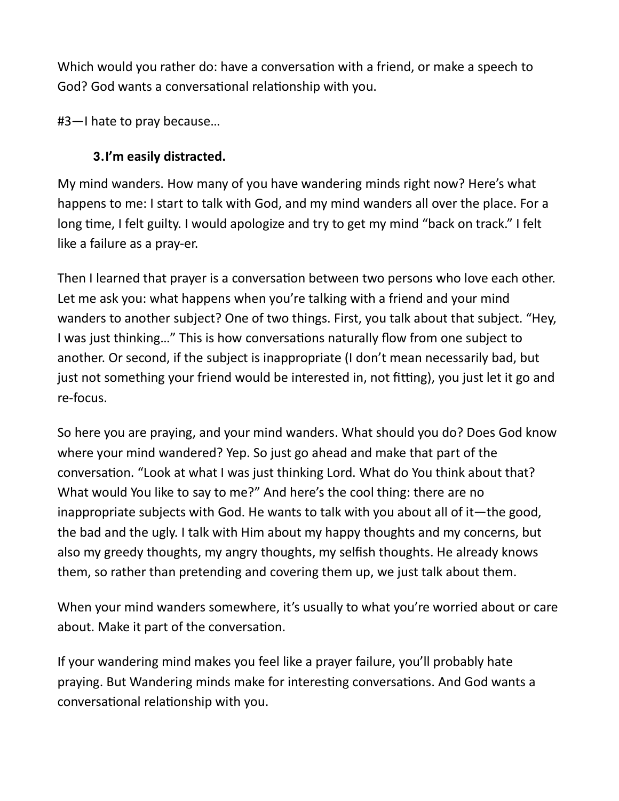Which would you rather do: have a conversation with a friend, or make a speech to God? God wants a conversational relationship with you.

#3—I hate to pray because…

# 3.I'm easily distracted.

My mind wanders. How many of you have wandering minds right now? Here's what happens to me: I start to talk with God, and my mind wanders all over the place. For a long time, I felt guilty. I would apologize and try to get my mind "back on track." I felt like a failure as a pray-er.

Then I learned that prayer is a conversation between two persons who love each other. Let me ask you: what happens when you're talking with a friend and your mind wanders to another subject? One of two things. First, you talk about that subject. "Hey, I was just thinking..." This is how conversations naturally flow from one subject to another. Or second, if the subject is inappropriate (I don't mean necessarily bad, but just not something your friend would be interested in, not fitting), you just let it go and re-focus.

So here you are praying, and your mind wanders. What should you do? Does God know where your mind wandered? Yep. So just go ahead and make that part of the conversation. "Look at what I was just thinking Lord. What do You think about that? What would You like to say to me?" And here's the cool thing: there are no inappropriate subjects with God. He wants to talk with you about all of it—the good, the bad and the ugly. I talk with Him about my happy thoughts and my concerns, but also my greedy thoughts, my angry thoughts, my selfish thoughts. He already knows them, so rather than pretending and covering them up, we just talk about them.

When your mind wanders somewhere, it's usually to what you're worried about or care about. Make it part of the conversation.

If your wandering mind makes you feel like a prayer failure, you'll probably hate praying. But Wandering minds make for interesting conversations. And God wants a conversational relationship with you.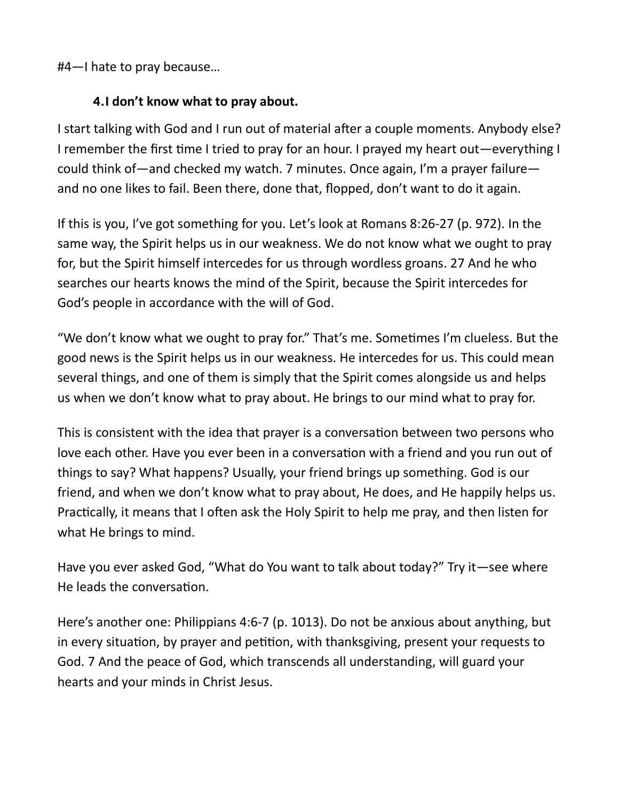#4—I hate to pray because…

## 4.I don't know what to pray about.

I start talking with God and I run out of material after a couple moments. Anybody else? I remember the first time I tried to pray for an hour. I prayed my heart out—everything I could think of—and checked my watch. 7 minutes. Once again, I'm a prayer failure and no one likes to fail. Been there, done that, flopped, don't want to do it again.

If this is you, I've got something for you. Let's look at Romans 8:26-27 (p. 972). In the same way, the Spirit helps us in our weakness. We do not know what we ought to pray for, but the Spirit himself intercedes for us through wordless groans. 27 And he who searches our hearts knows the mind of the Spirit, because the Spirit intercedes for God's people in accordance with the will of God.

"We don't know what we ought to pray for." That's me. Sometimes I'm clueless. But the good news is the Spirit helps us in our weakness. He intercedes for us. This could mean several things, and one of them is simply that the Spirit comes alongside us and helps us when we don't know what to pray about. He brings to our mind what to pray for.

This is consistent with the idea that prayer is a conversation between two persons who love each other. Have you ever been in a conversation with a friend and you run out of things to say? What happens? Usually, your friend brings up something. God is our friend, and when we don't know what to pray about, He does, and He happily helps us. Practically, it means that I often ask the Holy Spirit to help me pray, and then listen for what He brings to mind.

Have you ever asked God, "What do You want to talk about today?" Try it—see where He leads the conversation.

Here's another one: Philippians 4:6-7 (p. 1013). Do not be anxious about anything, but in every situation, by prayer and petition, with thanksgiving, present your requests to God. 7 And the peace of God, which transcends all understanding, will guard your hearts and your minds in Christ Jesus.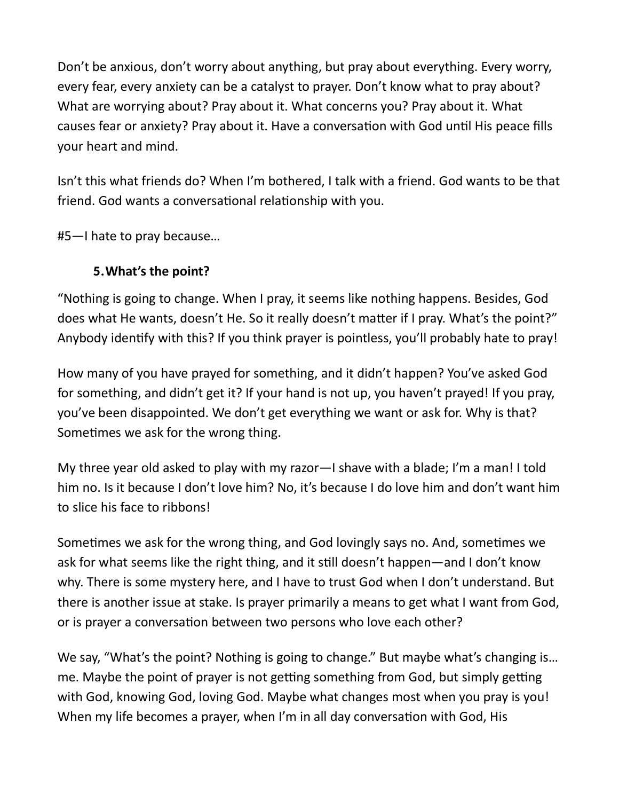Don't be anxious, don't worry about anything, but pray about everything. Every worry, every fear, every anxiety can be a catalyst to prayer. Don't know what to pray about? What are worrying about? Pray about it. What concerns you? Pray about it. What causes fear or anxiety? Pray about it. Have a conversation with God until His peace fills your heart and mind.

Isn't this what friends do? When I'm bothered, I talk with a friend. God wants to be that friend. God wants a conversational relationship with you.

#5—I hate to pray because…

## 5.What's the point?

"Nothing is going to change. When I pray, it seems like nothing happens. Besides, God does what He wants, doesn't He. So it really doesn't matter if I pray. What's the point?" Anybody idenƟfy with this? If you think prayer is pointless, you'll probably hate to pray!

How many of you have prayed for something, and it didn't happen? You've asked God for something, and didn't get it? If your hand is not up, you haven't prayed! If you pray, you've been disappointed. We don't get everything we want or ask for. Why is that? Sometimes we ask for the wrong thing.

My three year old asked to play with my razor—I shave with a blade; I'm a man! I told him no. Is it because I don't love him? No, it's because I do love him and don't want him to slice his face to ribbons!

Sometimes we ask for the wrong thing, and God lovingly says no. And, sometimes we ask for what seems like the right thing, and it still doesn't happen—and I don't know why. There is some mystery here, and I have to trust God when I don't understand. But there is another issue at stake. Is prayer primarily a means to get what I want from God, or is prayer a conversation between two persons who love each other?

We say, "What's the point? Nothing is going to change." But maybe what's changing is... me. Maybe the point of prayer is not getting something from God, but simply getting with God, knowing God, loving God. Maybe what changes most when you pray is you! When my life becomes a prayer, when I'm in all day conversation with God, His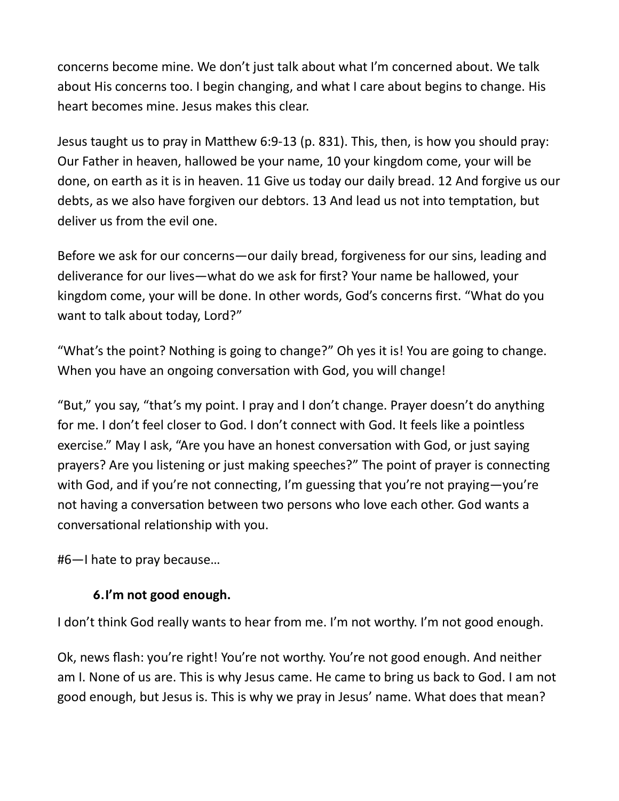concerns become mine. We don't just talk about what I'm concerned about. We talk about His concerns too. I begin changing, and what I care about begins to change. His heart becomes mine. Jesus makes this clear.

Jesus taught us to pray in Matthew 6:9-13 (p. 831). This, then, is how you should pray: Our Father in heaven, hallowed be your name, 10 your kingdom come, your will be done, on earth as it is in heaven. 11 Give us today our daily bread. 12 And forgive us our debts, as we also have forgiven our debtors. 13 And lead us not into temptation, but deliver us from the evil one.

Before we ask for our concerns—our daily bread, forgiveness for our sins, leading and deliverance for our lives—what do we ask for first? Your name be hallowed, your kingdom come, your will be done. In other words, God's concerns first. "What do you want to talk about today, Lord?"

"What's the point? Nothing is going to change?" Oh yes it is! You are going to change. When you have an ongoing conversation with God, you will change!

"But," you say, "that's my point. I pray and I don't change. Prayer doesn't do anything for me. I don't feel closer to God. I don't connect with God. It feels like a pointless exercise." May I ask, "Are you have an honest conversation with God, or just saying prayers? Are you listening or just making speeches?" The point of prayer is connecting with God, and if you're not connecting, I'm guessing that you're not praying—you're not having a conversation between two persons who love each other. God wants a conversational relationship with you.

#6—I hate to pray because…

## 6.I'm not good enough.

I don't think God really wants to hear from me. I'm not worthy. I'm not good enough.

Ok, news flash: you're right! You're not worthy. You're not good enough. And neither am I. None of us are. This is why Jesus came. He came to bring us back to God. I am not good enough, but Jesus is. This is why we pray in Jesus' name. What does that mean?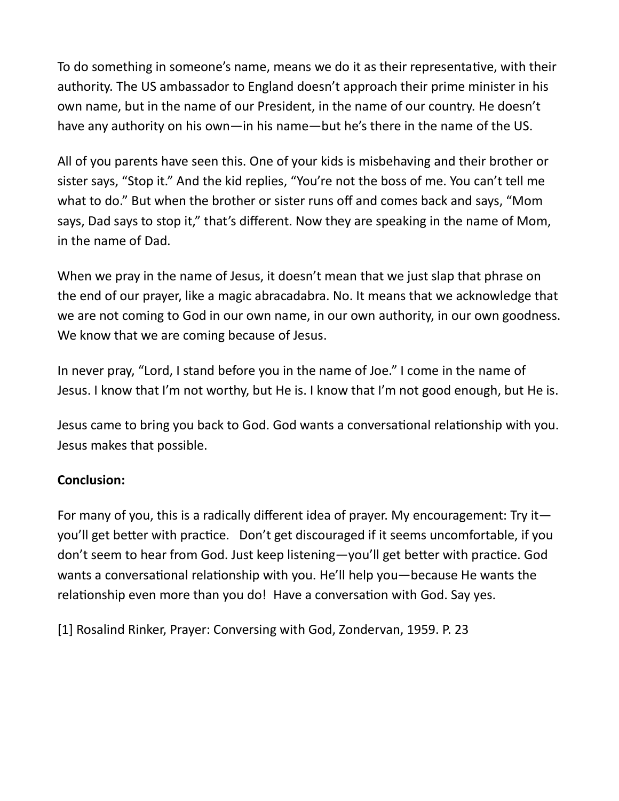To do something in someone's name, means we do it as their representative, with their authority. The US ambassador to England doesn't approach their prime minister in his own name, but in the name of our President, in the name of our country. He doesn't have any authority on his own—in his name—but he's there in the name of the US.

All of you parents have seen this. One of your kids is misbehaving and their brother or sister says, "Stop it." And the kid replies, "You're not the boss of me. You can't tell me what to do." But when the brother or sister runs off and comes back and says, "Mom says, Dad says to stop it," that's different. Now they are speaking in the name of Mom, in the name of Dad.

When we pray in the name of Jesus, it doesn't mean that we just slap that phrase on the end of our prayer, like a magic abracadabra. No. It means that we acknowledge that we are not coming to God in our own name, in our own authority, in our own goodness. We know that we are coming because of Jesus.

In never pray, "Lord, I stand before you in the name of Joe." I come in the name of Jesus. I know that I'm not worthy, but He is. I know that I'm not good enough, but He is.

Jesus came to bring you back to God. God wants a conversational relationship with you. Jesus makes that possible.

#### Conclusion:

For many of you, this is a radically different idea of prayer. My encouragement: Try it you'll get better with practice. Don't get discouraged if it seems uncomfortable, if you don't seem to hear from God. Just keep listening—you'll get better with practice. God wants a conversational relationship with you. He'll help you—because He wants the relationship even more than you do! Have a conversation with God. Say yes.

[1] Rosalind Rinker, Prayer: Conversing with God, Zondervan, 1959. P. 23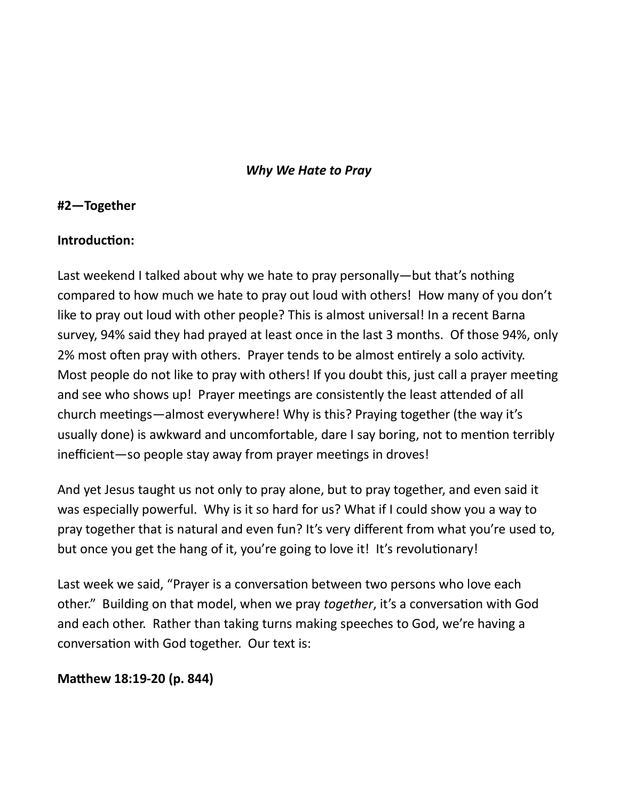#### Why We Hate to Pray

#### #2—Together

#### Introduction:

Last weekend I talked about why we hate to pray personally—but that's nothing compared to how much we hate to pray out loud with others! How many of you don't like to pray out loud with other people? This is almost universal! In a recent Barna survey, 94% said they had prayed at least once in the last 3 months. Of those 94%, only 2% most often pray with others. Prayer tends to be almost entirely a solo activity. Most people do not like to pray with others! If you doubt this, just call a prayer meeting and see who shows up! Prayer meetings are consistently the least attended of all church meetings—almost everywhere! Why is this? Praying together (the way it's usually done) is awkward and uncomfortable, dare I say boring, not to mention terribly inefficient—so people stay away from prayer meetings in droves!

And yet Jesus taught us not only to pray alone, but to pray together, and even said it was especially powerful. Why is it so hard for us? What if I could show you a way to pray together that is natural and even fun? It's very different from what you're used to, but once you get the hang of it, you're going to love it! It's revolutionary!

Last week we said, "Prayer is a conversation between two persons who love each other." Building on that model, when we pray together, it's a conversation with God and each other. Rather than taking turns making speeches to God, we're having a conversation with God together. Our text is:

#### Matthew 18:19-20 (p. 844)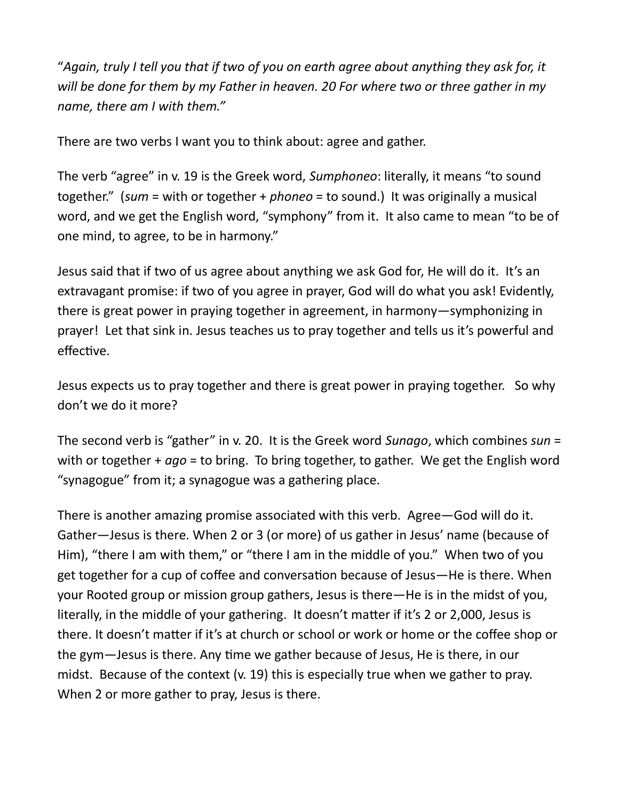"Again, truly I tell you that if two of you on earth agree about anything they ask for, it will be done for them by my Father in heaven. 20 For where two or three gather in my name, there am I with them."

There are two verbs I want you to think about: agree and gather.

The verb "agree" in v. 19 is the Greek word, Sumphoneo: literally, it means "to sound together." (sum = with or together + phoneo = to sound.) It was originally a musical word, and we get the English word, "symphony" from it. It also came to mean "to be of one mind, to agree, to be in harmony."

Jesus said that if two of us agree about anything we ask God for, He will do it. It's an extravagant promise: if two of you agree in prayer, God will do what you ask! Evidently, there is great power in praying together in agreement, in harmony—symphonizing in prayer! Let that sink in. Jesus teaches us to pray together and tells us it's powerful and effective.

Jesus expects us to pray together and there is great power in praying together. So why don't we do it more?

The second verb is "gather" in v. 20. It is the Greek word Sunago, which combines sun = with or together +  $ago =$  to bring. To bring together, to gather. We get the English word "synagogue" from it; a synagogue was a gathering place.

There is another amazing promise associated with this verb. Agree—God will do it. Gather—Jesus is there. When 2 or 3 (or more) of us gather in Jesus' name (because of Him), "there I am with them," or "there I am in the middle of you." When two of you get together for a cup of coffee and conversation because of Jesus-He is there. When your Rooted group or mission group gathers, Jesus is there—He is in the midst of you, literally, in the middle of your gathering. It doesn't matter if it's 2 or 2,000, Jesus is there. It doesn't matter if it's at church or school or work or home or the coffee shop or the gym—Jesus is there. Any time we gather because of Jesus, He is there, in our midst. Because of the context (v. 19) this is especially true when we gather to pray. When 2 or more gather to pray, Jesus is there.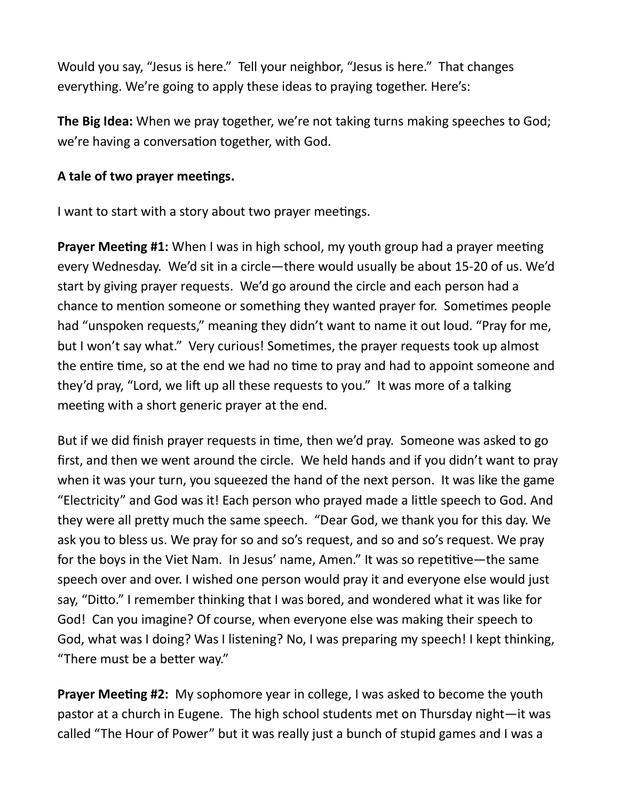Would you say, "Jesus is here." Tell your neighbor, "Jesus is here." That changes everything. We're going to apply these ideas to praying together. Here's:

The Big Idea: When we pray together, we're not taking turns making speeches to God; we're having a conversation together, with God.

#### A tale of two prayer meetings.

I want to start with a story about two prayer meetings.

**Prayer Meeting #1:** When I was in high school, my youth group had a prayer meeting every Wednesday. We'd sit in a circle—there would usually be about 15-20 of us. We'd start by giving prayer requests. We'd go around the circle and each person had a chance to mention someone or something they wanted prayer for. Sometimes people had "unspoken requests," meaning they didn't want to name it out loud. "Pray for me, but I won't say what." Very curious! Sometimes, the prayer requests took up almost the entire time, so at the end we had no time to pray and had to appoint someone and they'd pray, "Lord, we lift up all these requests to you." It was more of a talking meeting with a short generic prayer at the end.

But if we did finish prayer requests in time, then we'd pray. Someone was asked to go first, and then we went around the circle. We held hands and if you didn't want to pray when it was your turn, you squeezed the hand of the next person. It was like the game "Electricity" and God was it! Each person who prayed made a little speech to God. And they were all preƩy much the same speech. "Dear God, we thank you for this day. We ask you to bless us. We pray for so and so's request, and so and so's request. We pray for the boys in the Viet Nam. In Jesus' name, Amen." It was so repetitive—the same speech over and over. I wished one person would pray it and everyone else would just say, "Ditto." I remember thinking that I was bored, and wondered what it was like for God! Can you imagine? Of course, when everyone else was making their speech to God, what was I doing? Was I listening? No, I was preparing my speech! I kept thinking, "There must be a better way."

**Prayer Meeting #2:** My sophomore year in college, I was asked to become the youth pastor at a church in Eugene. The high school students met on Thursday night—it was called "The Hour of Power" but it was really just a bunch of stupid games and I was a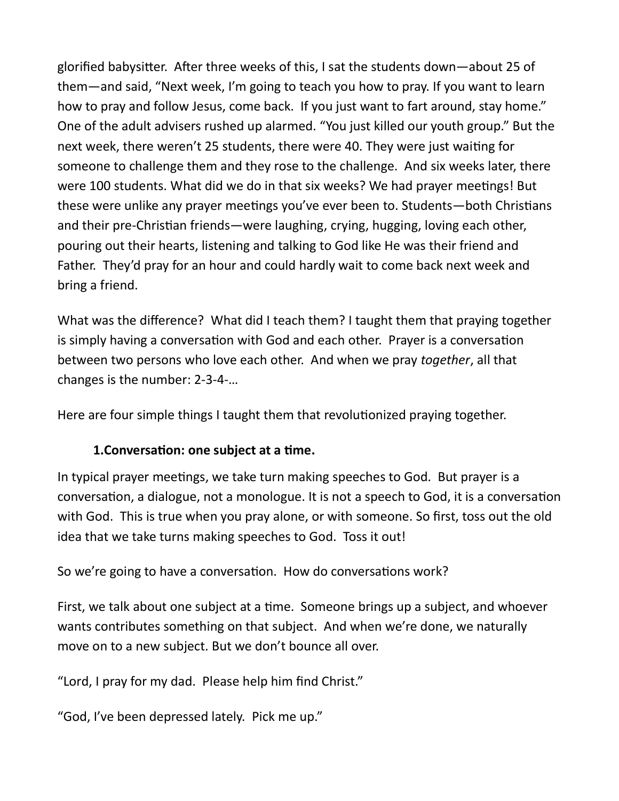glorified babysitter. After three weeks of this, I sat the students down—about 25 of them—and said, "Next week, I'm going to teach you how to pray. If you want to learn how to pray and follow Jesus, come back. If you just want to fart around, stay home." One of the adult advisers rushed up alarmed. "You just killed our youth group." But the next week, there weren't 25 students, there were 40. They were just waiting for someone to challenge them and they rose to the challenge. And six weeks later, there were 100 students. What did we do in that six weeks? We had prayer meetings! But these were unlike any prayer meetings you've ever been to. Students—both Christians and their pre-Christian friends—were laughing, crying, hugging, loving each other, pouring out their hearts, listening and talking to God like He was their friend and Father. They'd pray for an hour and could hardly wait to come back next week and bring a friend.

What was the difference? What did I teach them? I taught them that praying together is simply having a conversation with God and each other. Prayer is a conversation between two persons who love each other. And when we pray together, all that changes is the number: 2-3-4-…

Here are four simple things I taught them that revolutionized praying together.

#### 1. Conversation: one subject at a time.

In typical prayer meetings, we take turn making speeches to God. But prayer is a conversation, a dialogue, not a monologue. It is not a speech to God, it is a conversation with God. This is true when you pray alone, or with someone. So first, toss out the old idea that we take turns making speeches to God. Toss it out!

So we're going to have a conversation. How do conversations work?

First, we talk about one subject at a time. Someone brings up a subject, and whoever wants contributes something on that subject. And when we're done, we naturally move on to a new subject. But we don't bounce all over.

"Lord, I pray for my dad. Please help him find Christ."

"God, I've been depressed lately. Pick me up."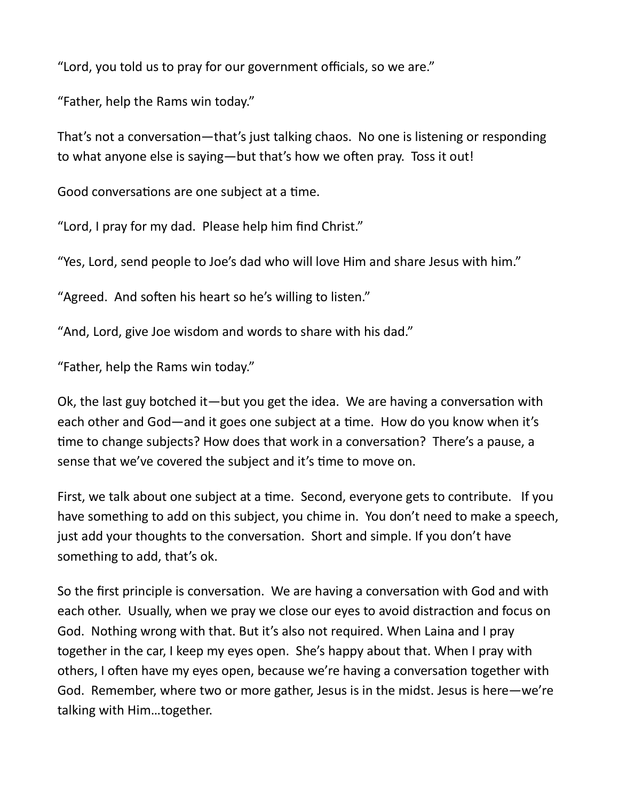"Lord, you told us to pray for our government officials, so we are."

"Father, help the Rams win today."

That's not a conversation—that's just talking chaos. No one is listening or responding to what anyone else is saying—but that's how we often pray. Toss it out!

Good conversations are one subject at a time.

"Lord, I pray for my dad. Please help him find Christ."

"Yes, Lord, send people to Joe's dad who will love Him and share Jesus with him."

"Agreed. And soften his heart so he's willing to listen."

"And, Lord, give Joe wisdom and words to share with his dad."

"Father, help the Rams win today."

Ok, the last guy botched it—but you get the idea. We are having a conversation with each other and God—and it goes one subject at a time. How do you know when it's time to change subjects? How does that work in a conversation? There's a pause, a sense that we've covered the subject and it's time to move on.

First, we talk about one subject at a time. Second, everyone gets to contribute. If you have something to add on this subject, you chime in. You don't need to make a speech, just add your thoughts to the conversation. Short and simple. If you don't have something to add, that's ok.

So the first principle is conversation. We are having a conversation with God and with each other. Usually, when we pray we close our eyes to avoid distraction and focus on God. Nothing wrong with that. But it's also not required. When Laina and I pray together in the car, I keep my eyes open. She's happy about that. When I pray with others, I often have my eyes open, because we're having a conversation together with God. Remember, where two or more gather, Jesus is in the midst. Jesus is here—we're talking with Him…together.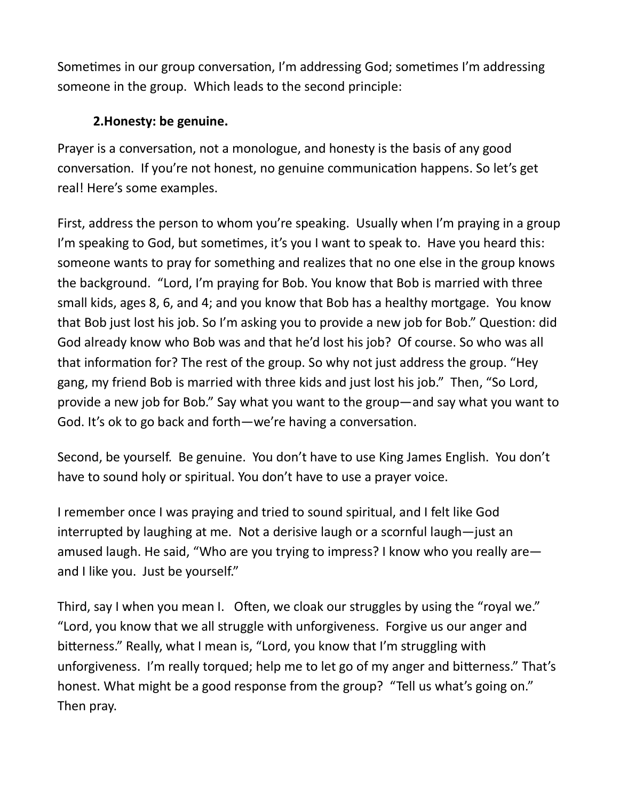Sometimes in our group conversation, I'm addressing God; sometimes I'm addressing someone in the group. Which leads to the second principle:

## 2.Honesty: be genuine.

Prayer is a conversation, not a monologue, and honesty is the basis of any good conversation. If you're not honest, no genuine communication happens. So let's get real! Here's some examples.

First, address the person to whom you're speaking. Usually when I'm praying in a group I'm speaking to God, but sometimes, it's you I want to speak to. Have you heard this: someone wants to pray for something and realizes that no one else in the group knows the background. "Lord, I'm praying for Bob. You know that Bob is married with three small kids, ages 8, 6, and 4; and you know that Bob has a healthy mortgage. You know that Bob just lost his job. So I'm asking you to provide a new job for Bob." Question: did God already know who Bob was and that he'd lost his job? Of course. So who was all that information for? The rest of the group. So why not just address the group. "Hey gang, my friend Bob is married with three kids and just lost his job." Then, "So Lord, provide a new job for Bob." Say what you want to the group—and say what you want to God. It's ok to go back and forth—we're having a conversation.

Second, be yourself. Be genuine. You don't have to use King James English. You don't have to sound holy or spiritual. You don't have to use a prayer voice.

I remember once I was praying and tried to sound spiritual, and I felt like God interrupted by laughing at me. Not a derisive laugh or a scornful laugh—just an amused laugh. He said, "Who are you trying to impress? I know who you really are and I like you. Just be yourself."

Third, say I when you mean I. Often, we cloak our struggles by using the "royal we." "Lord, you know that we all struggle with unforgiveness. Forgive us our anger and bitterness." Really, what I mean is, "Lord, you know that I'm struggling with unforgiveness. I'm really torqued; help me to let go of my anger and bitterness." That's honest. What might be a good response from the group? "Tell us what's going on." Then pray.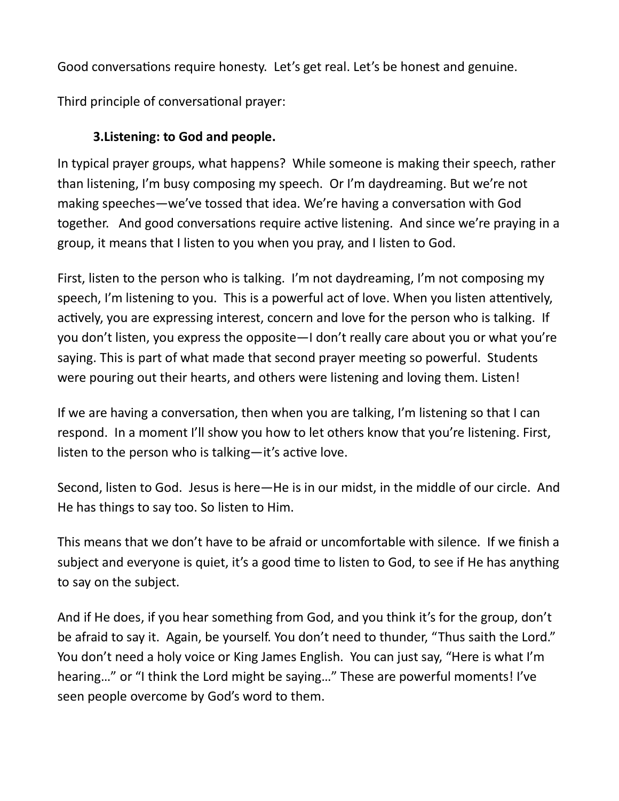Good conversations require honesty. Let's get real. Let's be honest and genuine.

Third principle of conversational prayer:

# 3.Listening: to God and people.

In typical prayer groups, what happens? While someone is making their speech, rather than listening, I'm busy composing my speech. Or I'm daydreaming. But we're not making speeches—we've tossed that idea. We're having a conversation with God together. And good conversations require active listening. And since we're praying in a group, it means that I listen to you when you pray, and I listen to God.

First, listen to the person who is talking. I'm not daydreaming, I'm not composing my speech, I'm listening to you. This is a powerful act of love. When you listen attentively, actively, you are expressing interest, concern and love for the person who is talking. If you don't listen, you express the opposite—I don't really care about you or what you're saying. This is part of what made that second prayer meeting so powerful. Students were pouring out their hearts, and others were listening and loving them. Listen!

If we are having a conversation, then when you are talking, I'm listening so that I can respond. In a moment I'll show you how to let others know that you're listening. First, listen to the person who is talking—it's active love.

Second, listen to God. Jesus is here—He is in our midst, in the middle of our circle. And He has things to say too. So listen to Him.

This means that we don't have to be afraid or uncomfortable with silence. If we finish a subject and everyone is quiet, it's a good time to listen to God, to see if He has anything to say on the subject.

And if He does, if you hear something from God, and you think it's for the group, don't be afraid to say it. Again, be yourself. You don't need to thunder, "Thus saith the Lord." You don't need a holy voice or King James English. You can just say, "Here is what I'm hearing…" or "I think the Lord might be saying…" These are powerful moments! I've seen people overcome by God's word to them.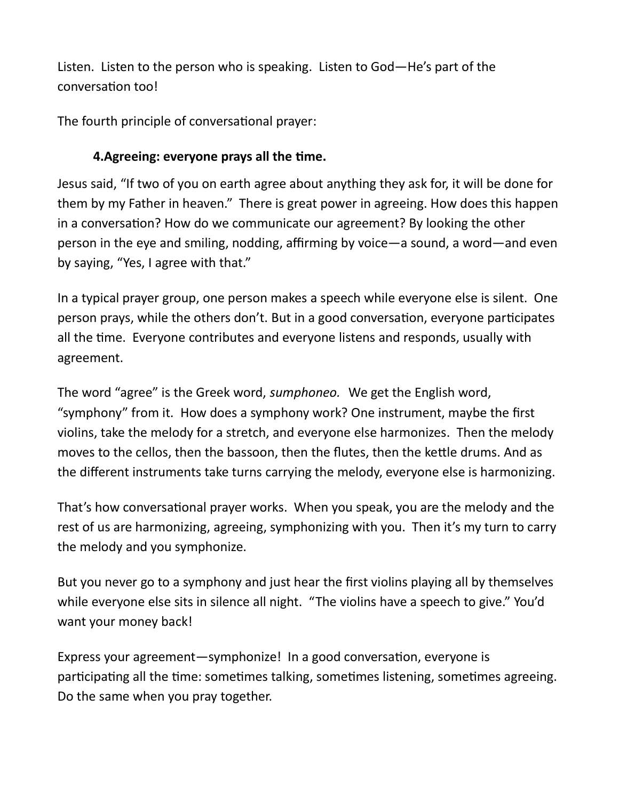Listen. Listen to the person who is speaking. Listen to God—He's part of the conversation too!

The fourth principle of conversational prayer:

# 4. Agreeing: everyone prays all the time.

Jesus said, "If two of you on earth agree about anything they ask for, it will be done for them by my Father in heaven." There is great power in agreeing. How does this happen in a conversation? How do we communicate our agreement? By looking the other person in the eye and smiling, nodding, affirming by voice—a sound, a word—and even by saying, "Yes, I agree with that."

In a typical prayer group, one person makes a speech while everyone else is silent. One person prays, while the others don't. But in a good conversation, everyone participates all the time. Everyone contributes and everyone listens and responds, usually with agreement.

The word "agree" is the Greek word, sumphoneo. We get the English word, "symphony" from it. How does a symphony work? One instrument, maybe the first violins, take the melody for a stretch, and everyone else harmonizes. Then the melody moves to the cellos, then the bassoon, then the flutes, then the kettle drums. And as the different instruments take turns carrying the melody, everyone else is harmonizing.

That's how conversational prayer works. When you speak, you are the melody and the rest of us are harmonizing, agreeing, symphonizing with you. Then it's my turn to carry the melody and you symphonize.

But you never go to a symphony and just hear the first violins playing all by themselves while everyone else sits in silence all night. "The violins have a speech to give." You'd want your money back!

Express your agreement—symphonize! In a good conversation, everyone is participating all the time: sometimes talking, sometimes listening, sometimes agreeing. Do the same when you pray together.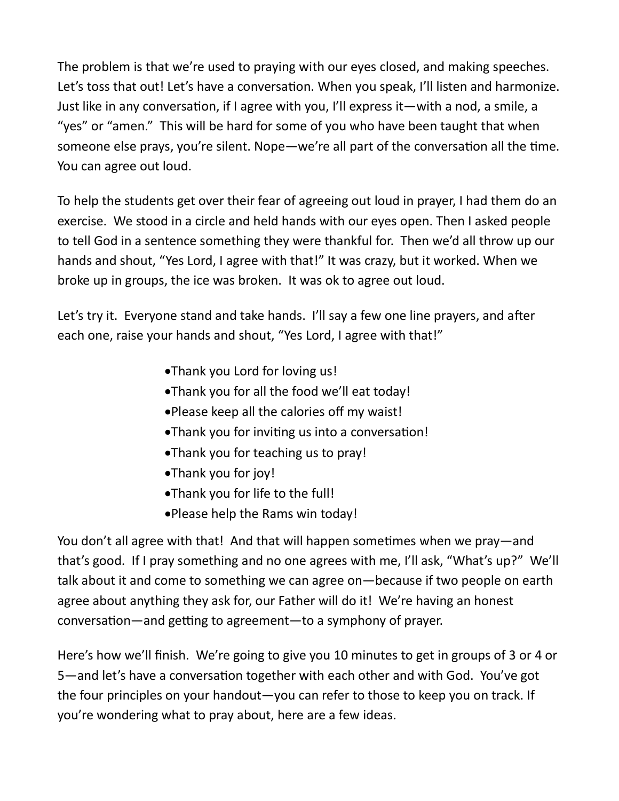The problem is that we're used to praying with our eyes closed, and making speeches. Let's toss that out! Let's have a conversation. When you speak, I'll listen and harmonize. Just like in any conversation, if I agree with you, I'll express it—with a nod, a smile, a "yes" or "amen." This will be hard for some of you who have been taught that when someone else prays, you're silent. Nope—we're all part of the conversation all the time. You can agree out loud.

To help the students get over their fear of agreeing out loud in prayer, I had them do an exercise. We stood in a circle and held hands with our eyes open. Then I asked people to tell God in a sentence something they were thankful for. Then we'd all throw up our hands and shout, "Yes Lord, I agree with that!" It was crazy, but it worked. When we broke up in groups, the ice was broken. It was ok to agree out loud.

Let's try it. Everyone stand and take hands. I'll say a few one line prayers, and after each one, raise your hands and shout, "Yes Lord, I agree with that!"

- Thank you Lord for loving us!
- Thank you for all the food we'll eat today!
- Please keep all the calories off my waist!
- Thank you for inviting us into a conversation!
- Thank you for teaching us to pray!
- Thank you for joy!
- Thank you for life to the full!
- Please help the Rams win today!

You don't all agree with that! And that will happen sometimes when we pray—and that's good. If I pray something and no one agrees with me, I'll ask, "What's up?" We'll talk about it and come to something we can agree on—because if two people on earth agree about anything they ask for, our Father will do it! We're having an honest conversation—and getting to agreement—to a symphony of prayer.

Here's how we'll finish. We're going to give you 10 minutes to get in groups of 3 or 4 or 5—and let's have a conversation together with each other and with God. You've got the four principles on your handout—you can refer to those to keep you on track. If you're wondering what to pray about, here are a few ideas.